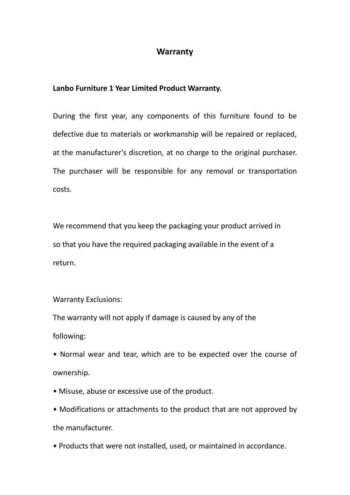## **Warranty**

## **Lanbo Furniture 1 Year Limited Product Warranty.**

During the first year, any components of this furniture found to be defective due to materials or workmanship will be repaired or replaced, at the manufacturer's discretion, at no charge to the original purchaser. The purchaser will be responsible for any removal or transportation costs.

We recommend that you keep the packaging your product arrived in so that you have the required packaging available in the event of a return.

## Warranty Exclusions:

The warranty will not apply if damage is caused by any of the following:

- Normal wear and tear, which are to be expected over the course of ownership.
- Misuse, abuse or excessive use of the product.
- Modifications or attachments to the product that are not approved by the manufacturer.
- Products that were not installed, used, or maintained in accordance.